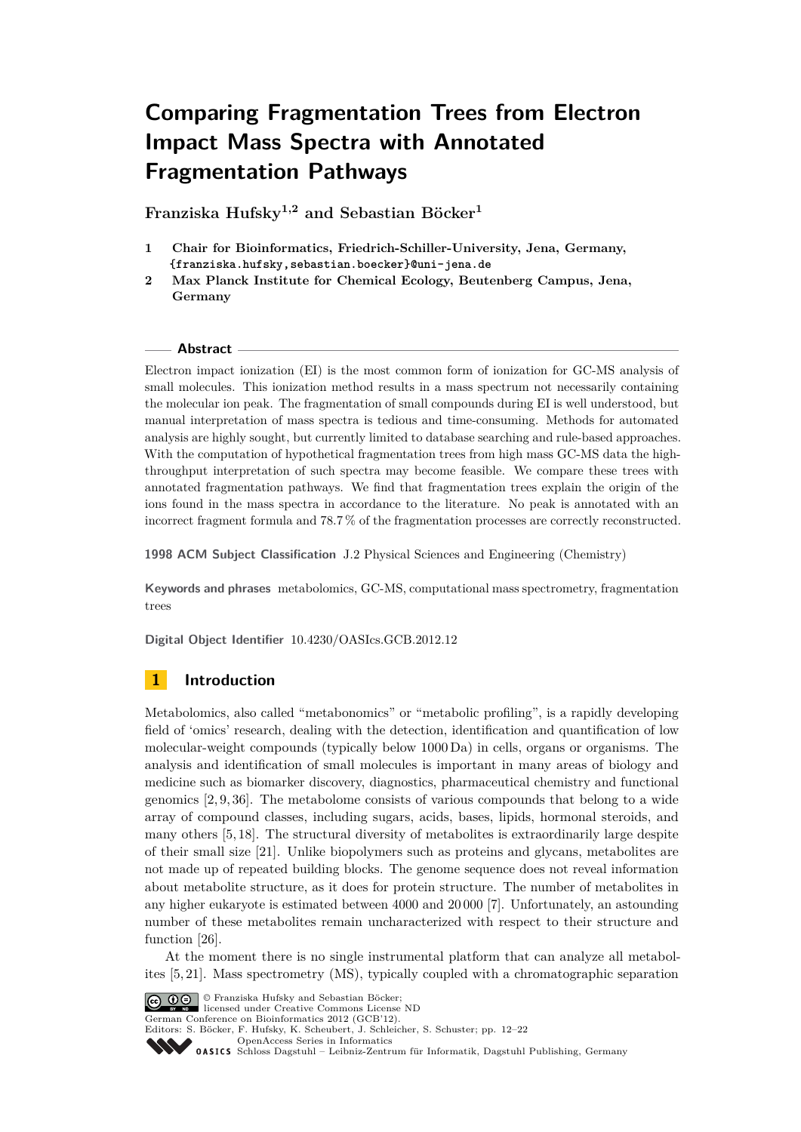# **Comparing Fragmentation Trees from Electron Impact Mass Spectra with Annotated Fragmentation Pathways**

**Franziska Hufsky1,2 and Sebastian Böcker<sup>1</sup>**

- **1 Chair for Bioinformatics, Friedrich-Schiller-University, Jena, Germany, [{franziska.hufsky,sebastian.boecker}@uni-jena.de]({franziska.hufsky, sebastian.boecker}@uni-jena.de)**
- **2 Max Planck Institute for Chemical Ecology, Beutenberg Campus, Jena, Germany**

#### **Abstract**

Electron impact ionization (EI) is the most common form of ionization for GC-MS analysis of small molecules. This ionization method results in a mass spectrum not necessarily containing the molecular ion peak. The fragmentation of small compounds during EI is well understood, but manual interpretation of mass spectra is tedious and time-consuming. Methods for automated analysis are highly sought, but currently limited to database searching and rule-based approaches. With the computation of hypothetical fragmentation trees from high mass GC-MS data the highthroughput interpretation of such spectra may become feasible. We compare these trees with annotated fragmentation pathways. We find that fragmentation trees explain the origin of the ions found in the mass spectra in accordance to the literature. No peak is annotated with an incorrect fragment formula and 78.7 % of the fragmentation processes are correctly reconstructed.

**1998 ACM Subject Classification** J.2 Physical Sciences and Engineering (Chemistry)

**Keywords and phrases** metabolomics, GC-MS, computational mass spectrometry, fragmentation trees

**Digital Object Identifier** [10.4230/OASIcs.GCB.2012.12](http://dx.doi.org/10.4230/OASIcs.GCB.2012.12)

# **1 Introduction**

Metabolomics, also called "metabonomics" or "metabolic profiling", is a rapidly developing field of 'omics' research, dealing with the detection, identification and quantification of low molecular-weight compounds (typically below 1000 Da) in cells, organs or organisms. The analysis and identification of small molecules is important in many areas of biology and medicine such as biomarker discovery, diagnostics, pharmaceutical chemistry and functional genomics [\[2,](#page-9-0) [9,](#page-9-1) [36\]](#page-10-0). The metabolome consists of various compounds that belong to a wide array of compound classes, including sugars, acids, bases, lipids, hormonal steroids, and many others [\[5,](#page-9-2) [18\]](#page-9-3). The structural diversity of metabolites is extraordinarily large despite of their small size [\[21\]](#page-10-1). Unlike biopolymers such as proteins and glycans, metabolites are not made up of repeated building blocks. The genome sequence does not reveal information about metabolite structure, as it does for protein structure. The number of metabolites in any higher eukaryote is estimated between 4000 and 20 000 [\[7\]](#page-9-4). Unfortunately, an astounding number of these metabolites remain uncharacterized with respect to their structure and function [\[26\]](#page-10-2).

At the moment there is no single instrumental platform that can analyze all metabolites [\[5,](#page-9-2) [21\]](#page-10-1). Mass spectrometry (MS), typically coupled with a chromatographic separation



© Franziska Hufsky and Sebastian Böcker; licensed under Creative Commons License ND

German Conference on Bioinformatics 2012 (GCB'12).

Editors: S. Böcker, F. Hufsky, K. Scheubert, J. Schleicher, S. Schuster; pp. 12[–22](#page-10-3)

[OpenAccess Series in Informatics](http://www.dagstuhl.de/oasics/)

Optimatess Danks in information für Informatik, Dagstuhl Publishing, Germany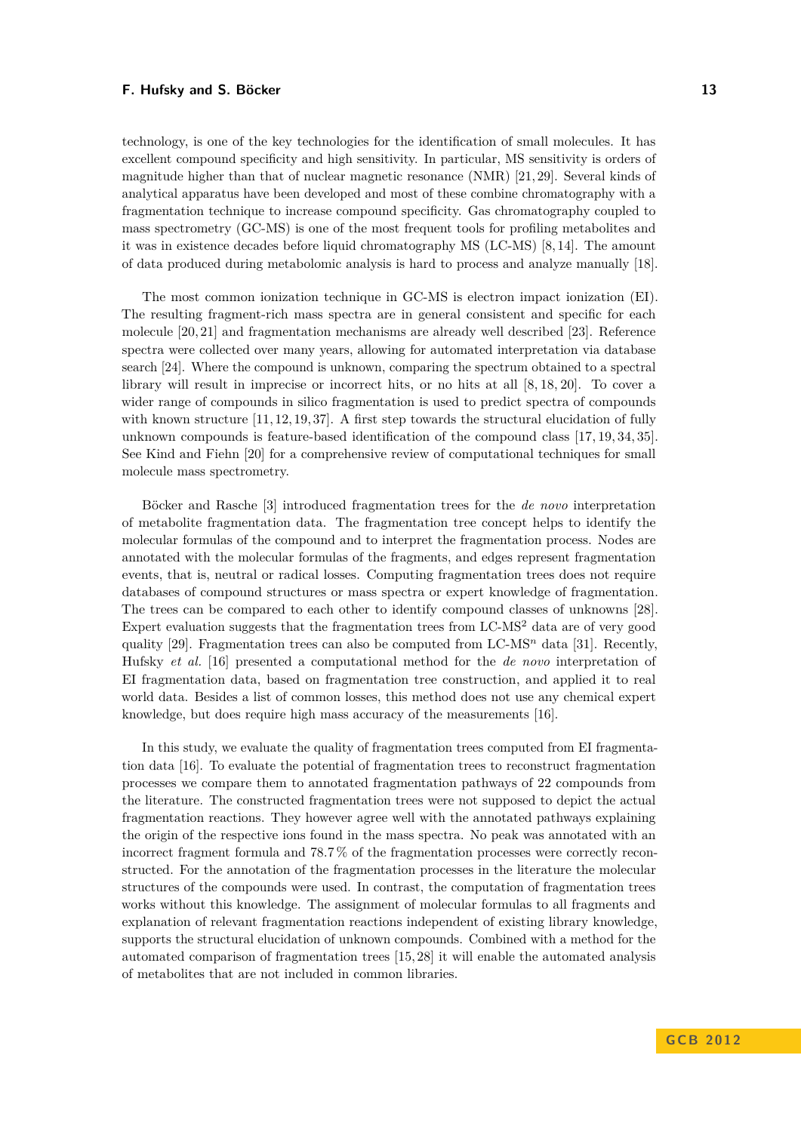#### **F. Hufsky and S. Böcker 13**

technology, is one of the key technologies for the identification of small molecules. It has excellent compound specificity and high sensitivity. In particular, MS sensitivity is orders of magnitude higher than that of nuclear magnetic resonance (NMR) [\[21,](#page-10-1) [29\]](#page-10-4). Several kinds of analytical apparatus have been developed and most of these combine chromatography with a fragmentation technique to increase compound specificity. Gas chromatography coupled to mass spectrometry (GC-MS) is one of the most frequent tools for profiling metabolites and it was in existence decades before liquid chromatography MS (LC-MS) [\[8,](#page-9-5) [14\]](#page-9-6). The amount of data produced during metabolomic analysis is hard to process and analyze manually [\[18\]](#page-9-3).

The most common ionization technique in GC-MS is electron impact ionization (EI). The resulting fragment-rich mass spectra are in general consistent and specific for each molecule [\[20,](#page-10-5) [21\]](#page-10-1) and fragmentation mechanisms are already well described [\[23\]](#page-10-6). Reference spectra were collected over many years, allowing for automated interpretation via database search [\[24\]](#page-10-7). Where the compound is unknown, comparing the spectrum obtained to a spectral library will result in imprecise or incorrect hits, or no hits at all [\[8,](#page-9-5) [18,](#page-9-3) [20\]](#page-10-5). To cover a wider range of compounds in silico fragmentation is used to predict spectra of compounds with known structure  $[11, 12, 19, 37]$  $[11, 12, 19, 37]$  $[11, 12, 19, 37]$  $[11, 12, 19, 37]$ . A first step towards the structural elucidation of fully unknown compounds is feature-based identification of the compound class [\[17,](#page-9-10) [19,](#page-9-9) [34,](#page-10-9) [35\]](#page-10-10). See Kind and Fiehn [\[20\]](#page-10-5) for a comprehensive review of computational techniques for small molecule mass spectrometry.

Böcker and Rasche [\[3\]](#page-9-11) introduced fragmentation trees for the *de novo* interpretation of metabolite fragmentation data. The fragmentation tree concept helps to identify the molecular formulas of the compound and to interpret the fragmentation process. Nodes are annotated with the molecular formulas of the fragments, and edges represent fragmentation events, that is, neutral or radical losses. Computing fragmentation trees does not require databases of compound structures or mass spectra or expert knowledge of fragmentation. The trees can be compared to each other to identify compound classes of unknowns [\[28\]](#page-10-11). Expert evaluation suggests that the fragmentation trees from  $LC-MS<sup>2</sup>$  data are of very good quality [\[29\]](#page-10-4). Fragmentation trees can also be computed from  $LC-MS<sup>n</sup>$  data [\[31\]](#page-10-12). Recently, Hufsky *et al.* [\[16\]](#page-9-12) presented a computational method for the *de novo* interpretation of EI fragmentation data, based on fragmentation tree construction, and applied it to real world data. Besides a list of common losses, this method does not use any chemical expert knowledge, but does require high mass accuracy of the measurements [\[16\]](#page-9-12).

In this study, we evaluate the quality of fragmentation trees computed from EI fragmentation data [\[16\]](#page-9-12). To evaluate the potential of fragmentation trees to reconstruct fragmentation processes we compare them to annotated fragmentation pathways of 22 compounds from the literature. The constructed fragmentation trees were not supposed to depict the actual fragmentation reactions. They however agree well with the annotated pathways explaining the origin of the respective ions found in the mass spectra. No peak was annotated with an incorrect fragment formula and 78.7 % of the fragmentation processes were correctly reconstructed. For the annotation of the fragmentation processes in the literature the molecular structures of the compounds were used. In contrast, the computation of fragmentation trees works without this knowledge. The assignment of molecular formulas to all fragments and explanation of relevant fragmentation reactions independent of existing library knowledge, supports the structural elucidation of unknown compounds. Combined with a method for the automated comparison of fragmentation trees [\[15,](#page-9-13) [28\]](#page-10-11) it will enable the automated analysis of metabolites that are not included in common libraries.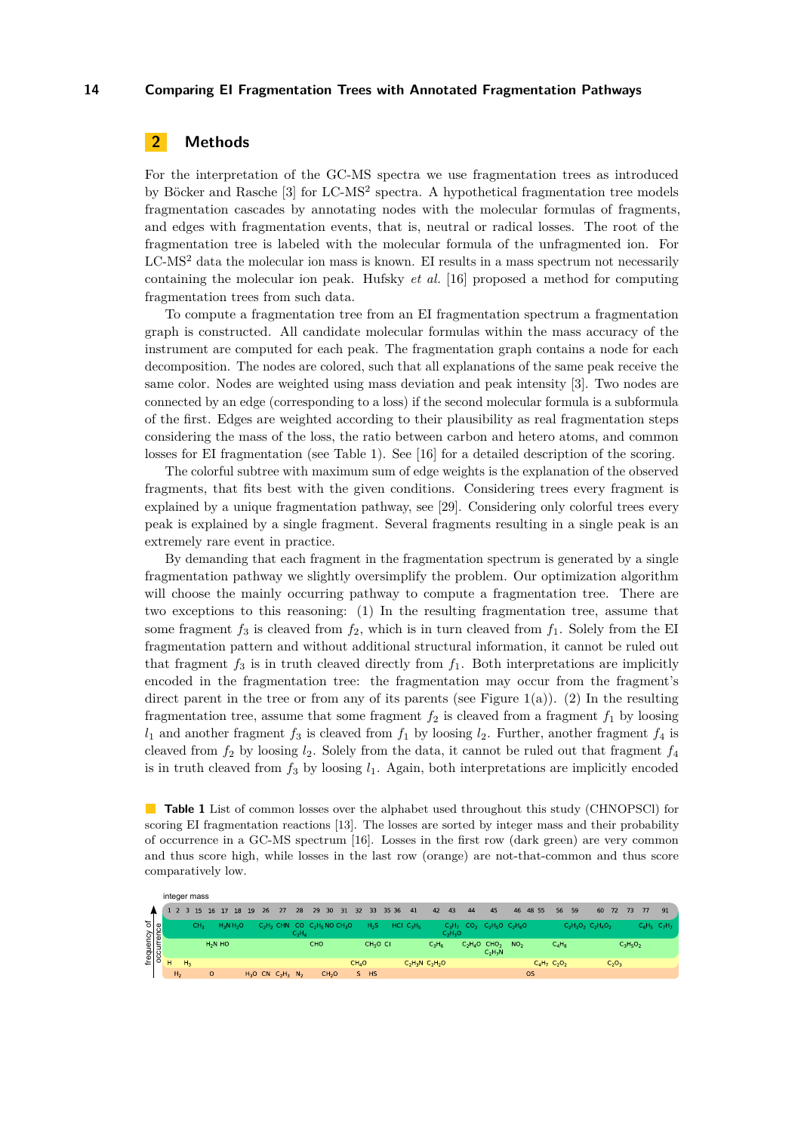# **2 Methods**

For the interpretation of the GC-MS spectra we use fragmentation trees as introduced by Böcker and Rasche [\[3\]](#page-9-11) for LC-MS<sup>2</sup> spectra. A hypothetical fragmentation tree models fragmentation cascades by annotating nodes with the molecular formulas of fragments, and edges with fragmentation events, that is, neutral or radical losses. The root of the fragmentation tree is labeled with the molecular formula of the unfragmented ion. For LC-MS<sup>2</sup> data the molecular ion mass is known. EI results in a mass spectrum not necessarily containing the molecular ion peak. Hufsky *et al.* [\[16\]](#page-9-12) proposed a method for computing fragmentation trees from such data.

To compute a fragmentation tree from an EI fragmentation spectrum a fragmentation graph is constructed. All candidate molecular formulas within the mass accuracy of the instrument are computed for each peak. The fragmentation graph contains a node for each decomposition. The nodes are colored, such that all explanations of the same peak receive the same color. Nodes are weighted using mass deviation and peak intensity [\[3\]](#page-9-11). Two nodes are connected by an edge (corresponding to a loss) if the second molecular formula is a subformula of the first. Edges are weighted according to their plausibility as real fragmentation steps considering the mass of the loss, the ratio between carbon and hetero atoms, and common losses for EI fragmentation (see Table [1\)](#page-2-0). See [\[16\]](#page-9-12) for a detailed description of the scoring.

The colorful subtree with maximum sum of edge weights is the explanation of the observed fragments, that fits best with the given conditions. Considering trees every fragment is explained by a unique fragmentation pathway, see [\[29\]](#page-10-4). Considering only colorful trees every peak is explained by a single fragment. Several fragments resulting in a single peak is an extremely rare event in practice.

By demanding that each fragment in the fragmentation spectrum is generated by a single fragmentation pathway we slightly oversimplify the problem. Our optimization algorithm will choose the mainly occurring pathway to compute a fragmentation tree. There are two exceptions to this reasoning: (1) In the resulting fragmentation tree, assume that some fragment  $f_3$  is cleaved from  $f_2$ , which is in turn cleaved from  $f_1$ . Solely from the EI fragmentation pattern and without additional structural information, it cannot be ruled out that fragment  $f_3$  is in truth cleaved directly from  $f_1$ . Both interpretations are implicitly encoded in the fragmentation tree: the fragmentation may occur from the fragment's direct parent in the tree or from any of its parents (see Figure [1\(](#page-3-0)a)). (2) In the resulting fragmentation tree, assume that some fragment  $f_2$  is cleaved from a fragment  $f_1$  by loosing  $l_1$  and another fragment  $f_3$  is cleaved from  $f_1$  by loosing  $l_2$ . Further, another fragment  $f_4$  is cleaved from  $f_2$  by loosing  $l_2$ . Solely from the data, it cannot be ruled out that fragment  $f_4$ is in truth cleaved from  $f_3$  by loosing  $l_1$ . Again, both interpretations are implicitly encoded

<span id="page-2-0"></span>**Table 1** List of common losses over the alphabet used throughout this study (CHNOPSCl) for scoring EI fragmentation reactions [\[13\]](#page-9-14). The losses are sorted by integer mass and their probability of occurrence in a GC-MS spectrum [\[16\]](#page-9-12). Losses in the first row (dark green) are very common and thus score high, while losses in the last row (orange) are not-that-common and thus score comparatively low.

|                            | integer mass |                |                |                 |         |             |    |    |    |                                               |          |          |                   |         |                      |       |                   |          |                       |    |                                         |                 |           |       |                   |                         |    |          |             |    |                   |
|----------------------------|--------------|----------------|----------------|-----------------|---------|-------------|----|----|----|-----------------------------------------------|----------|----------|-------------------|---------|----------------------|-------|-------------------|----------|-----------------------|----|-----------------------------------------|-----------------|-----------|-------|-------------------|-------------------------|----|----------|-------------|----|-------------------|
| frequency of<br>occurrence |              | 2 3            |                |                 |         | 15 16 17    | 18 | 19 | 26 | 27                                            | 28       | 29 30 31 |                   | 32      | 33                   | 35 36 | 41                | 42       | 43                    | 44 | 45                                      | 46              |           | 48 55 | 56                | 59                      | 60 | 72       | 73          | 77 | 91                |
|                            |              |                |                | CH <sub>2</sub> |         | $H_2N H_2O$ |    |    |    | $C_2H_2$ CHN CO $C_2H_5$ NO CH <sub>3</sub> O | $C_2H_4$ |          |                   |         | $H_2S$               |       | $HCI$ $C_3H_5$    |          | $C_2H_7$<br>$C_2H_3O$ |    | $CO2$ , $C2H5O$ , $C2H6O$               |                 |           |       |                   | $C_2H_3O_2$ $C_2H_4O_2$ |    |          |             |    | $C_6H_5$ $C_7H_7$ |
|                            |              |                |                |                 |         | $H2N$ HO    |    |    |    |                                               |          | CHO      |                   |         | CH <sub>5</sub> O CI |       |                   | $C_3H_6$ |                       |    | $C_2H_4O$ CHO <sub>2</sub><br>$C_2H_7N$ | NO <sub>2</sub> |           |       | $C_4H_8$          |                         |    |          | $C_3H_5O_2$ |    |                   |
|                            | н            |                | H <sub>3</sub> |                 |         |             |    |    |    |                                               |          |          |                   | $CH_4O$ |                      |       | $C_2H_3N C_2H_2O$ |          |                       |    |                                         |                 |           |       | $C_4H_7$ $C_2O_2$ |                         |    | $C_2O_3$ |             |    |                   |
|                            |              | H <sub>2</sub> |                |                 | $\circ$ |             |    |    |    | $H_3O$ CN $C_2H_3$ N <sub>2</sub>             |          |          | CH <sub>2</sub> O |         | S HS                 |       |                   |          |                       |    |                                         |                 | <b>OS</b> |       |                   |                         |    |          |             |    |                   |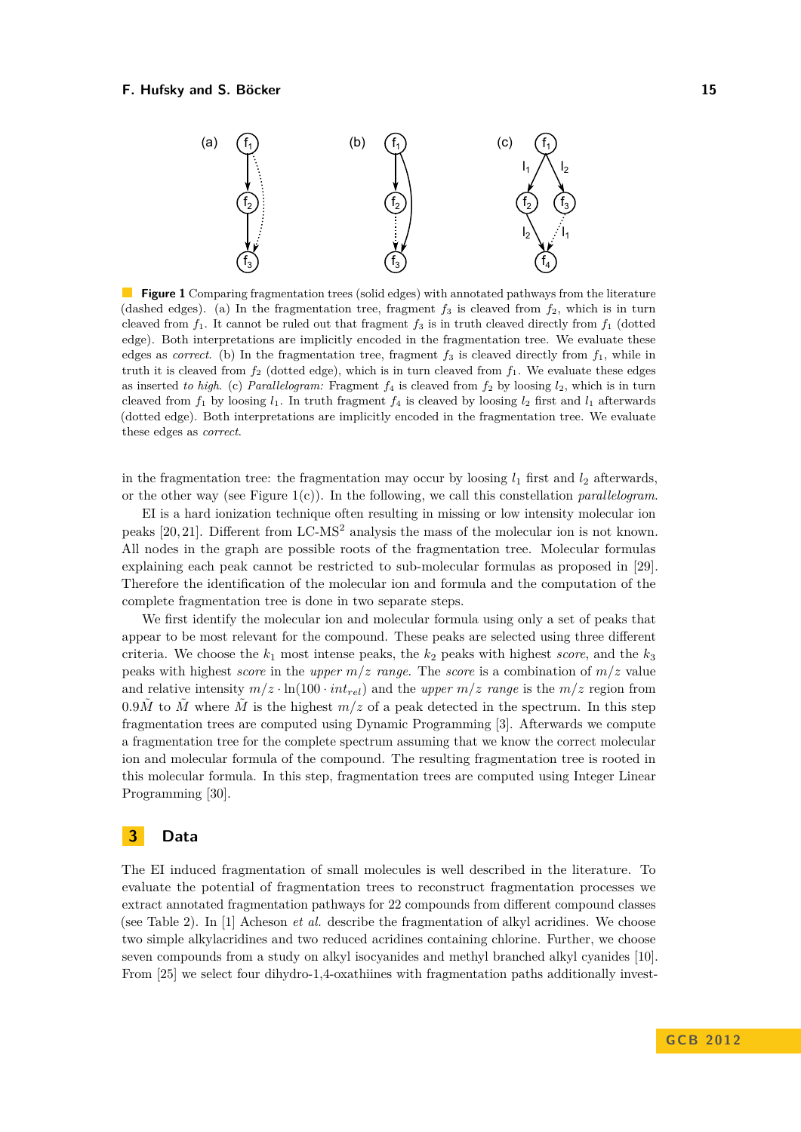#### <span id="page-3-0"></span>**F. Hufsky and S. Böcker 15** and the state of the state of the state of the state of the state of the state of the state of the state of the state of the state of the state of the state of the state of the state of the sta



**Figure 1** Comparing fragmentation trees (solid edges) with annotated pathways from the literature (dashed edges). (a) In the fragmentation tree, fragment  $f_3$  is cleaved from  $f_2$ , which is in turn cleaved from  $f_1$ . It cannot be ruled out that fragment  $f_3$  is in truth cleaved directly from  $f_1$  (dotted edge). Both interpretations are implicitly encoded in the fragmentation tree. We evaluate these edges as *correct*. (b) In the fragmentation tree, fragment  $f_3$  is cleaved directly from  $f_1$ , while in truth it is cleaved from *f*<sup>2</sup> (dotted edge), which is in turn cleaved from *f*1. We evaluate these edges as inserted *to high*. (c) *Parallelogram:* Fragment *f*<sup>4</sup> is cleaved from *f*<sup>2</sup> by loosing *l*2, which is in turn cleaved from  $f_1$  by loosing  $l_1$ . In truth fragment  $f_4$  is cleaved by loosing  $l_2$  first and  $l_1$  afterwards (dotted edge). Both interpretations are implicitly encoded in the fragmentation tree. We evaluate these edges as *correct*.

in the fragmentation tree: the fragmentation may occur by loosing  $l_1$  first and  $l_2$  afterwards, or the other way (see Figure [1\(](#page-3-0)c)). In the following, we call this constellation *parallelogram*.

EI is a hard ionization technique often resulting in missing or low intensity molecular ion peaks [\[20,](#page-10-5) [21\]](#page-10-1). Different from LC-MS<sup>2</sup> analysis the mass of the molecular ion is not known. All nodes in the graph are possible roots of the fragmentation tree. Molecular formulas explaining each peak cannot be restricted to sub-molecular formulas as proposed in [\[29\]](#page-10-4). Therefore the identification of the molecular ion and formula and the computation of the complete fragmentation tree is done in two separate steps.

We first identify the molecular ion and molecular formula using only a set of peaks that appear to be most relevant for the compound. These peaks are selected using three different criteria. We choose the  $k_1$  most intense peaks, the  $k_2$  peaks with highest *score*, and the  $k_3$ peaks with highest *score* in the *upper m/z range*. The *score* is a combination of *m/z* value and relative intensity  $m/z \cdot \ln(100 \cdot int_{rel})$  and the *upper*  $m/z$  *range* is the  $m/z$  region from  $0.9\tilde{M}$  to  $\tilde{M}$  where  $\tilde{M}$  is the highest  $m/z$  of a peak detected in the spectrum. In this step fragmentation trees are computed using Dynamic Programming [\[3\]](#page-9-11). Afterwards we compute a fragmentation tree for the complete spectrum assuming that we know the correct molecular ion and molecular formula of the compound. The resulting fragmentation tree is rooted in this molecular formula. In this step, fragmentation trees are computed using Integer Linear Programming [\[30\]](#page-10-13).

## **3 Data**

The EI induced fragmentation of small molecules is well described in the literature. To evaluate the potential of fragmentation trees to reconstruct fragmentation processes we extract annotated fragmentation pathways for 22 compounds from different compound classes (see Table [2\)](#page-4-0). In [\[1\]](#page-9-15) Acheson *et al.* describe the fragmentation of alkyl acridines. We choose two simple alkylacridines and two reduced acridines containing chlorine. Further, we choose seven compounds from a study on alkyl isocyanides and methyl branched alkyl cyanides [\[10\]](#page-9-16). From [\[25\]](#page-10-14) we select four dihydro-1,4-oxathiines with fragmentation paths additionally invest-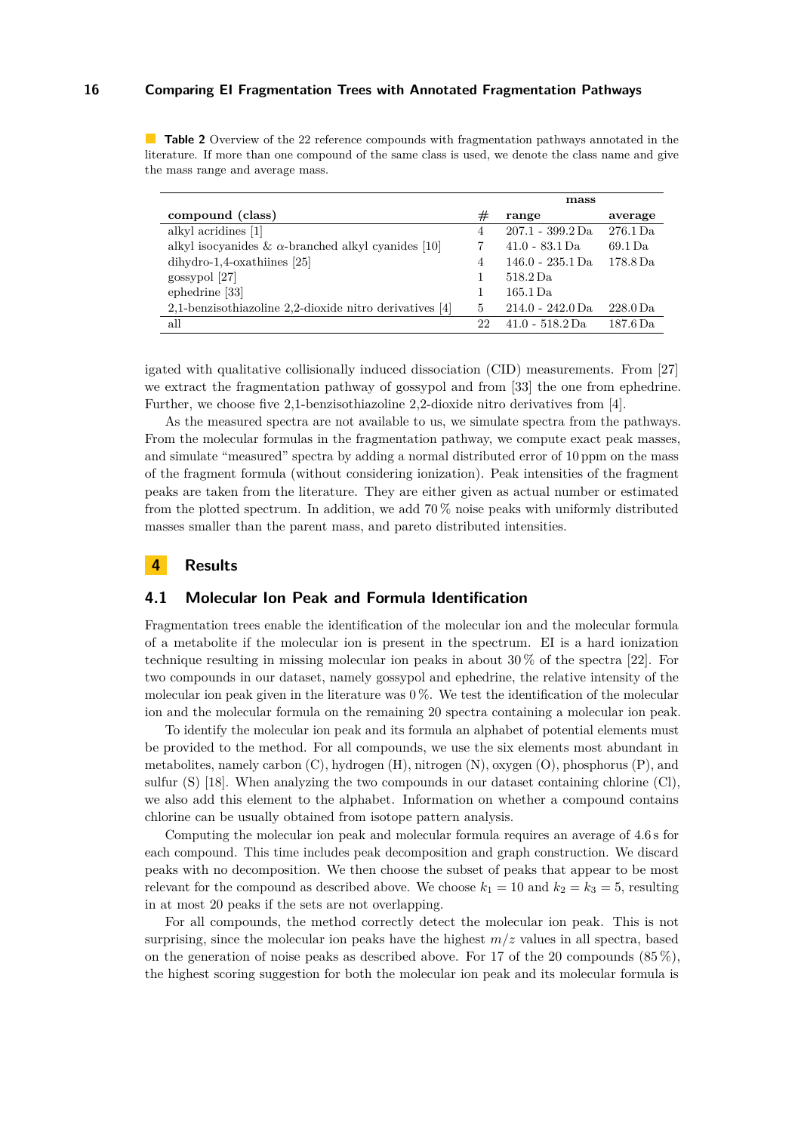<span id="page-4-0"></span>**Table 2** Overview of the 22 reference compounds with fragmentation pathways annotated in the literature. If more than one compound of the same class is used, we denote the class name and give the mass range and average mass.

|                                                            |    | mass               |                      |  |  |  |
|------------------------------------------------------------|----|--------------------|----------------------|--|--|--|
| compound (class)                                           | #  | range              | average              |  |  |  |
| alkyl acridines [1]                                        | 4  | $207.1 - 399.2$ Da | 276.1 Da             |  |  |  |
| alkyl isocyanides & $\alpha$ -branched alkyl cyanides [10] |    | $41.0 - 83.1$ Da   | 69.1 Da              |  |  |  |
| $dihydro-1,4-oxathiines [25]$                              | 4  | $146.0 - 235.1$ Da | 178.8 Da             |  |  |  |
| gossypol [27]                                              |    | 518.2 Da           |                      |  |  |  |
| ephedrine [33]                                             |    | 165.1 Da           |                      |  |  |  |
| 2,1-benzisothiazoline 2,2-dioxide nitro derivatives [4]    | 5  | $214.0 - 242.0$ Da | $228.0\,\mathrm{Da}$ |  |  |  |
| all                                                        | 22 | $41.0 - 518.2$ Da  | $187.6\,\mathrm{Da}$ |  |  |  |

igated with qualitative collisionally induced dissociation (CID) measurements. From [\[27\]](#page-10-15) we extract the fragmentation pathway of gossypol and from [\[33\]](#page-10-16) the one from ephedrine. Further, we choose five 2,1-benzisothiazoline 2,2-dioxide nitro derivatives from [\[4\]](#page-9-17).

As the measured spectra are not available to us, we simulate spectra from the pathways. From the molecular formulas in the fragmentation pathway, we compute exact peak masses, and simulate "measured" spectra by adding a normal distributed error of 10 ppm on the mass of the fragment formula (without considering ionization). Peak intensities of the fragment peaks are taken from the literature. They are either given as actual number or estimated from the plotted spectrum. In addition, we add 70 % noise peaks with uniformly distributed masses smaller than the parent mass, and pareto distributed intensities.

## **4 Results**

# **4.1 Molecular Ion Peak and Formula Identification**

Fragmentation trees enable the identification of the molecular ion and the molecular formula of a metabolite if the molecular ion is present in the spectrum. EI is a hard ionization technique resulting in missing molecular ion peaks in about 30 % of the spectra [\[22\]](#page-10-17). For two compounds in our dataset, namely gossypol and ephedrine, the relative intensity of the molecular ion peak given in the literature was  $0\%$ . We test the identification of the molecular ion and the molecular formula on the remaining 20 spectra containing a molecular ion peak.

To identify the molecular ion peak and its formula an alphabet of potential elements must be provided to the method. For all compounds, we use the six elements most abundant in metabolites, namely carbon (C), hydrogen (H), nitrogen (N), oxygen (O), phosphorus (P), and sulfur (S) [\[18\]](#page-9-3). When analyzing the two compounds in our dataset containing chlorine (Cl), we also add this element to the alphabet. Information on whether a compound contains chlorine can be usually obtained from isotope pattern analysis.

Computing the molecular ion peak and molecular formula requires an average of 4.6 s for each compound. This time includes peak decomposition and graph construction. We discard peaks with no decomposition. We then choose the subset of peaks that appear to be most relevant for the compound as described above. We choose  $k_1 = 10$  and  $k_2 = k_3 = 5$ , resulting in at most 20 peaks if the sets are not overlapping.

For all compounds, the method correctly detect the molecular ion peak. This is not surprising, since the molecular ion peaks have the highest  $m/z$  values in all spectra, based on the generation of noise peaks as described above. For 17 of the 20 compounds  $(85\%)$ , the highest scoring suggestion for both the molecular ion peak and its molecular formula is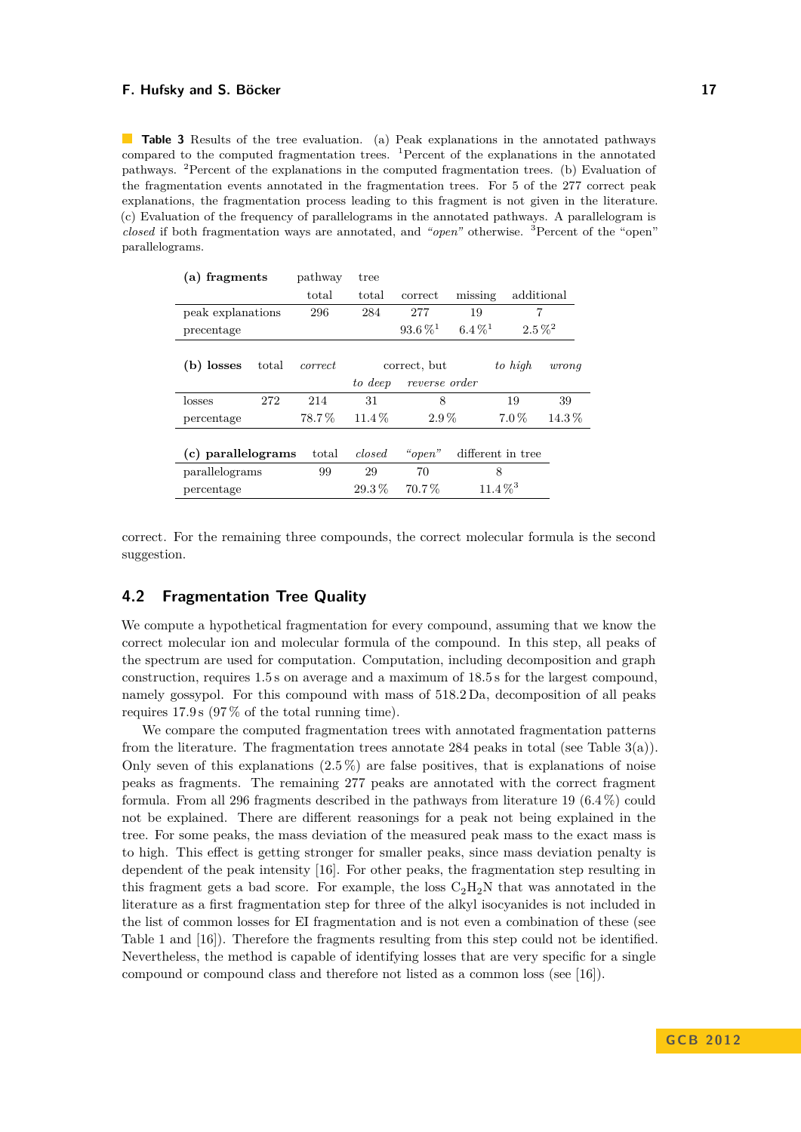#### **F. Hufsky and S. Böcker 17** and the state of the state of the state of the state of the state of the state of the state of the state of the state of the state of the state of the state of the state of the state of the sta

<span id="page-5-0"></span>**Table 3** Results of the tree evaluation. (a) Peak explanations in the annotated pathways compared to the computed fragmentation trees.  ${}^{1}$ Percent of the explanations in the annotated pathways. <sup>2</sup>Percent of the explanations in the computed fragmentation trees. (b) Evaluation of the fragmentation events annotated in the fragmentation trees. For 5 of the 277 correct peak explanations, the fragmentation process leading to this fragment is not given in the literature. (c) Evaluation of the frequency of parallelograms in the annotated pathways. A parallelogram is *closed* if both fragmentation ways are annotated, and *"open"* otherwise. <sup>3</sup>Percent of the "open" parallelograms.

| fragments<br>a)    |       | pathway | tree     |                         |                         |             |          |
|--------------------|-------|---------|----------|-------------------------|-------------------------|-------------|----------|
|                    |       | total   | total    | correct                 | missing                 | additional  |          |
| peak explanations  |       | 296     | 284      | 277                     | 19                      | 7           |          |
| precentage         |       |         |          | $93.6\,\%$ <sup>1</sup> | $6.4\,\%$ <sup>1</sup>  | $2.5\,\%^2$ |          |
| (b) losses         | total | correct |          | correct, but            |                         | to high     | wronq    |
|                    |       |         | to deep  | reverse order           |                         |             |          |
| losses             | 272   | 214     | 31       | 8                       |                         | 19          | 39       |
| percentage         |       | 78.7%   | $11.4\%$ | $2.9\%$                 |                         | $7.0\%$     | $14.3\%$ |
|                    |       |         |          |                         |                         |             |          |
| (c) parallelograms |       | total   | closed   | " $open"$               | different in tree       |             |          |
| parallelograms     |       | 99      | 29       | 70<br>8                 |                         |             |          |
| percentage         |       |         | $29.3\%$ | $70.7\%$                | $11.4\,\%$ <sup>3</sup> |             |          |

correct. For the remaining three compounds, the correct molecular formula is the second suggestion.

# **4.2 Fragmentation Tree Quality**

We compute a hypothetical fragmentation for every compound, assuming that we know the correct molecular ion and molecular formula of the compound. In this step, all peaks of the spectrum are used for computation. Computation, including decomposition and graph construction, requires 1.5 s on average and a maximum of 18.5 s for the largest compound, namely gossypol. For this compound with mass of 518.2 Da, decomposition of all peaks requires 17.9 s (97 % of the total running time).

We compare the computed fragmentation trees with annotated fragmentation patterns from the literature. The fragmentation trees annotate 284 peaks in total (see Table  $3(a)$ ). Only seven of this explanations  $(2.5\%)$  are false positives, that is explanations of noise peaks as fragments. The remaining 277 peaks are annotated with the correct fragment formula. From all 296 fragments described in the pathways from literature 19 (6.4 %) could not be explained. There are different reasonings for a peak not being explained in the tree. For some peaks, the mass deviation of the measured peak mass to the exact mass is to high. This effect is getting stronger for smaller peaks, since mass deviation penalty is dependent of the peak intensity [\[16\]](#page-9-12). For other peaks, the fragmentation step resulting in this fragment gets a bad score. For example, the loss  $C_2H_2N$  that was annotated in the literature as a first fragmentation step for three of the alkyl isocyanides is not included in the list of common losses for EI fragmentation and is not even a combination of these (see Table [1](#page-2-0) and [\[16\]](#page-9-12)). Therefore the fragments resulting from this step could not be identified. Nevertheless, the method is capable of identifying losses that are very specific for a single compound or compound class and therefore not listed as a common loss (see [\[16\]](#page-9-12)).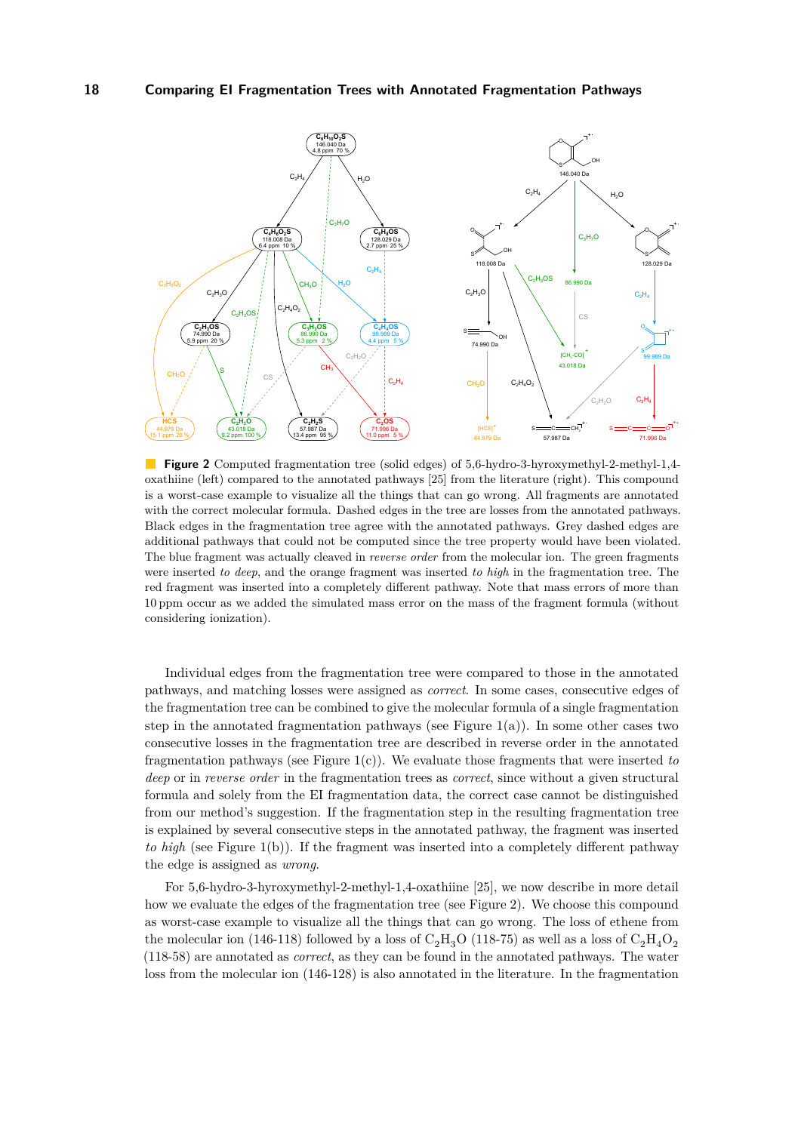<span id="page-6-0"></span>

**Figure 2** Computed fragmentation tree (solid edges) of 5,6-hydro-3-hyroxymethyl-2-methyl-1,4 oxathiine (left) compared to the annotated pathways [\[25\]](#page-10-14) from the literature (right). This compound is a worst-case example to visualize all the things that can go wrong. All fragments are annotated with the correct molecular formula. Dashed edges in the tree are losses from the annotated pathways. Black edges in the fragmentation tree agree with the annotated pathways. Grey dashed edges are additional pathways that could not be computed since the tree property would have been violated. The blue fragment was actually cleaved in *reverse order* from the molecular ion. The green fragments were inserted *to deep*, and the orange fragment was inserted *to high* in the fragmentation tree. The red fragment was inserted into a completely different pathway. Note that mass errors of more than 10 ppm occur as we added the simulated mass error on the mass of the fragment formula (without considering ionization).

Individual edges from the fragmentation tree were compared to those in the annotated pathways, and matching losses were assigned as *correct*. In some cases, consecutive edges of the fragmentation tree can be combined to give the molecular formula of a single fragmentation step in the annotated fragmentation pathways (see Figure [1\(](#page-3-0)a)). In some other cases two consecutive losses in the fragmentation tree are described in reverse order in the annotated fragmentation pathways (see Figure [1\(](#page-3-0)c)). We evaluate those fragments that were inserted *to deep* or in *reverse order* in the fragmentation trees as *correct*, since without a given structural formula and solely from the EI fragmentation data, the correct case cannot be distinguished from our method's suggestion. If the fragmentation step in the resulting fragmentation tree is explained by several consecutive steps in the annotated pathway, the fragment was inserted *to high* (see Figure [1\(](#page-3-0)b)). If the fragment was inserted into a completely different pathway the edge is assigned as *wrong*.

For 5,6-hydro-3-hyroxymethyl-2-methyl-1,4-oxathiine [\[25\]](#page-10-14), we now describe in more detail how we evaluate the edges of the fragmentation tree (see Figure [2\)](#page-6-0). We choose this compound as worst-case example to visualize all the things that can go wrong. The loss of ethene from the molecular ion (146-118) followed by a loss of  $C_2H_3O$  (118-75) as well as a loss of  $C_2H_4O_2$ (118-58) are annotated as *correct*, as they can be found in the annotated pathways. The water loss from the molecular ion (146-128) is also annotated in the literature. In the fragmentation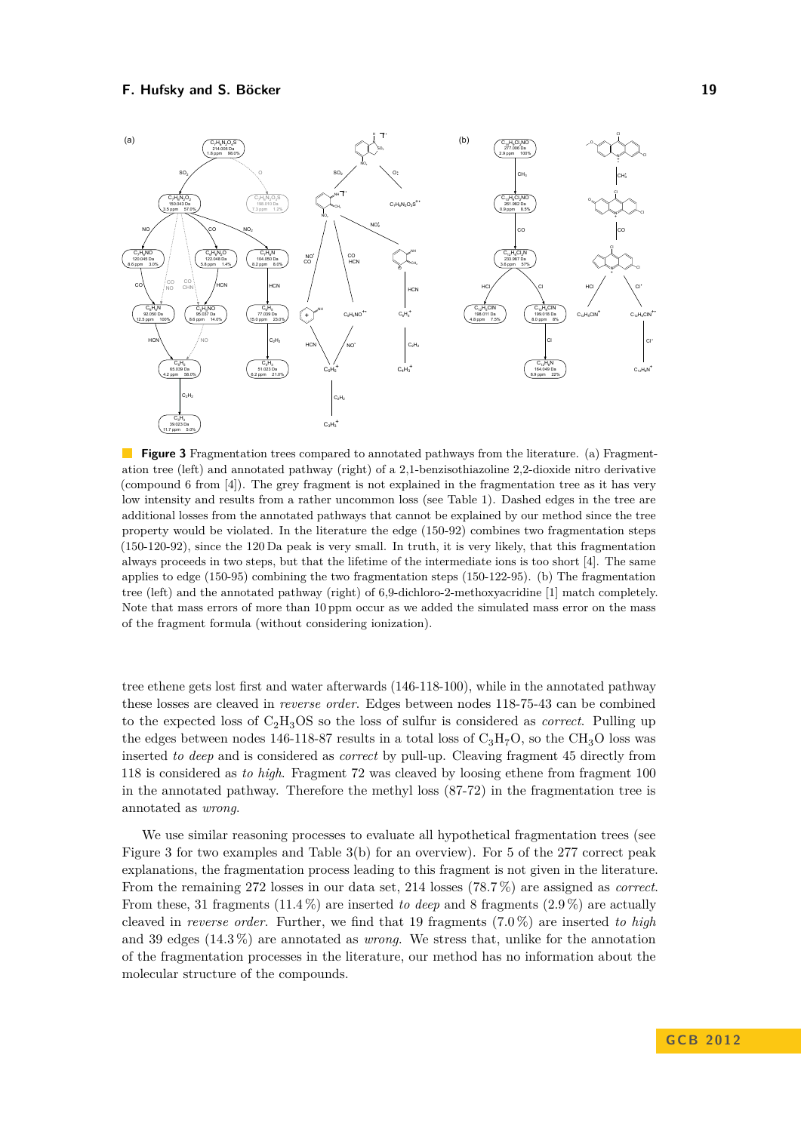<span id="page-7-0"></span>

**Figure 3** Fragmentation trees compared to annotated pathways from the literature. (a) Fragmentation tree (left) and annotated pathway (right) of a 2,1-benzisothiazoline 2,2-dioxide nitro derivative (compound 6 from [\[4\]](#page-9-17)). The grey fragment is not explained in the fragmentation tree as it has very low intensity and results from a rather uncommon loss (see Table [1\)](#page-2-0). Dashed edges in the tree are additional losses from the annotated pathways that cannot be explained by our method since the tree property would be violated. In the literature the edge (150-92) combines two fragmentation steps (150-120-92), since the 120 Da peak is very small. In truth, it is very likely, that this fragmentation always proceeds in two steps, but that the lifetime of the intermediate ions is too short [\[4\]](#page-9-17). The same applies to edge (150-95) combining the two fragmentation steps (150-122-95). (b) The fragmentation tree (left) and the annotated pathway (right) of 6,9-dichloro-2-methoxyacridine [\[1\]](#page-9-15) match completely. Note that mass errors of more than 10 ppm occur as we added the simulated mass error on the mass of the fragment formula (without considering ionization).

tree ethene gets lost first and water afterwards (146-118-100), while in the annotated pathway these losses are cleaved in *reverse order*. Edges between nodes 118-75-43 can be combined to the expected loss of  $C_2H_3OS$  so the loss of sulfur is considered as *correct*. Pulling up the edges between nodes 146-118-87 results in a total loss of  $C_3H_7O$ , so the CH<sub>3</sub>O loss was inserted *to deep* and is considered as *correct* by pull-up. Cleaving fragment 45 directly from 118 is considered as *to high*. Fragment 72 was cleaved by loosing ethene from fragment 100 in the annotated pathway. Therefore the methyl loss (87-72) in the fragmentation tree is annotated as *wrong*.

We use similar reasoning processes to evaluate all hypothetical fragmentation trees (see Figure [3](#page-7-0) for two examples and Table [3\(](#page-5-0)b) for an overview). For 5 of the 277 correct peak explanations, the fragmentation process leading to this fragment is not given in the literature. From the remaining 272 losses in our data set, 214 losses (78.7 %) are assigned as *correct*. From these, 31 fragments (11.4 %) are inserted *to deep* and 8 fragments (2.9 %) are actually cleaved in *reverse order*. Further, we find that 19 fragments (7.0 %) are inserted *to high* and 39 edges (14.3 %) are annotated as *wrong*. We stress that, unlike for the annotation of the fragmentation processes in the literature, our method has no information about the molecular structure of the compounds.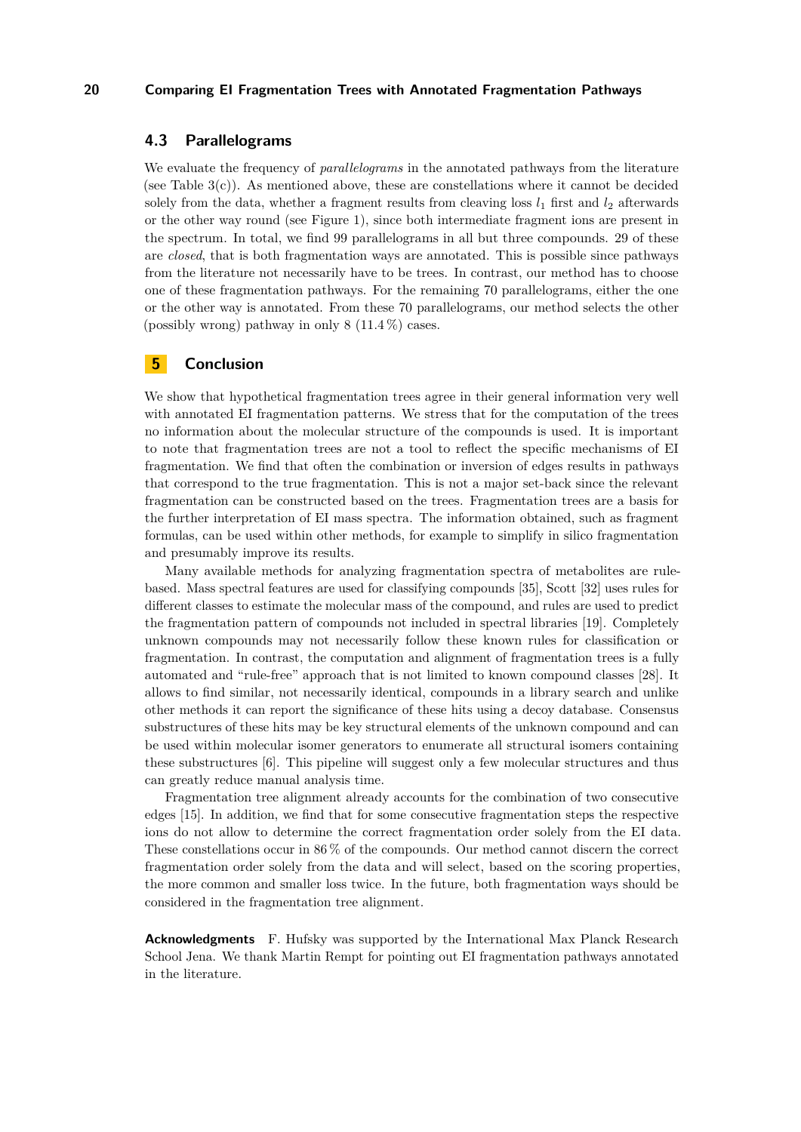## **4.3 Parallelograms**

We evaluate the frequency of *parallelograms* in the annotated pathways from the literature (see Table  $3(c)$ ). As mentioned above, these are constellations where it cannot be decided solely from the data, whether a fragment results from cleaving loss  $l_1$  first and  $l_2$  afterwards or the other way round (see Figure [1\)](#page-3-0), since both intermediate fragment ions are present in the spectrum. In total, we find 99 parallelograms in all but three compounds. 29 of these are *closed*, that is both fragmentation ways are annotated. This is possible since pathways from the literature not necessarily have to be trees. In contrast, our method has to choose one of these fragmentation pathways. For the remaining 70 parallelograms, either the one or the other way is annotated. From these 70 parallelograms, our method selects the other (possibly wrong) pathway in only  $8(11.4\%)$  cases.

# **5 Conclusion**

We show that hypothetical fragmentation trees agree in their general information very well with annotated EI fragmentation patterns. We stress that for the computation of the trees no information about the molecular structure of the compounds is used. It is important to note that fragmentation trees are not a tool to reflect the specific mechanisms of EI fragmentation. We find that often the combination or inversion of edges results in pathways that correspond to the true fragmentation. This is not a major set-back since the relevant fragmentation can be constructed based on the trees. Fragmentation trees are a basis for the further interpretation of EI mass spectra. The information obtained, such as fragment formulas, can be used within other methods, for example to simplify in silico fragmentation and presumably improve its results.

Many available methods for analyzing fragmentation spectra of metabolites are rulebased. Mass spectral features are used for classifying compounds [\[35\]](#page-10-10), Scott [\[32\]](#page-10-18) uses rules for different classes to estimate the molecular mass of the compound, and rules are used to predict the fragmentation pattern of compounds not included in spectral libraries [\[19\]](#page-9-9). Completely unknown compounds may not necessarily follow these known rules for classification or fragmentation. In contrast, the computation and alignment of fragmentation trees is a fully automated and "rule-free" approach that is not limited to known compound classes [\[28\]](#page-10-11). It allows to find similar, not necessarily identical, compounds in a library search and unlike other methods it can report the significance of these hits using a decoy database. Consensus substructures of these hits may be key structural elements of the unknown compound and can be used within molecular isomer generators to enumerate all structural isomers containing these substructures [\[6\]](#page-9-18). This pipeline will suggest only a few molecular structures and thus can greatly reduce manual analysis time.

Fragmentation tree alignment already accounts for the combination of two consecutive edges [\[15\]](#page-9-13). In addition, we find that for some consecutive fragmentation steps the respective ions do not allow to determine the correct fragmentation order solely from the EI data. These constellations occur in 86 % of the compounds. Our method cannot discern the correct fragmentation order solely from the data and will select, based on the scoring properties, the more common and smaller loss twice. In the future, both fragmentation ways should be considered in the fragmentation tree alignment.

**Acknowledgments** F. Hufsky was supported by the International Max Planck Research School Jena. We thank Martin Rempt for pointing out EI fragmentation pathways annotated in the literature.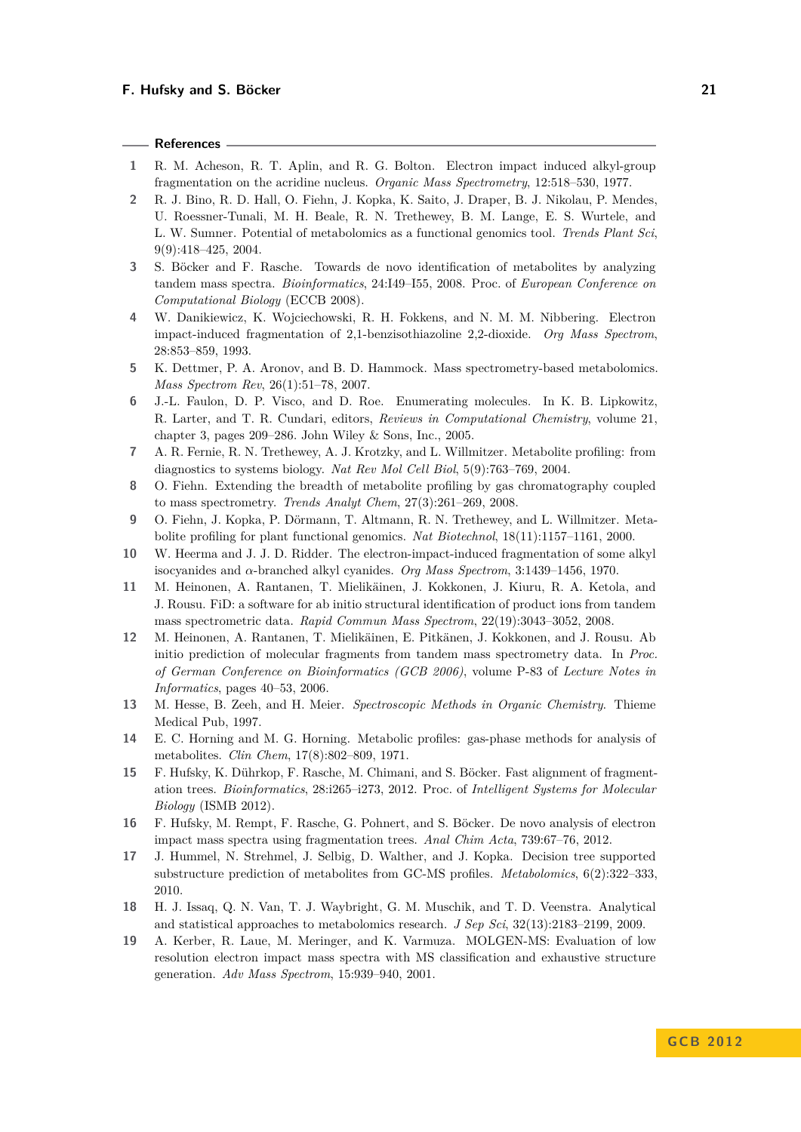#### **References**

- <span id="page-9-15"></span>**1** R. M. Acheson, R. T. Aplin, and R. G. Bolton. Electron impact induced alkyl-group fragmentation on the acridine nucleus. *Organic Mass Spectrometry*, 12:518–530, 1977.
- <span id="page-9-0"></span>**2** R. J. Bino, R. D. Hall, O. Fiehn, J. Kopka, K. Saito, J. Draper, B. J. Nikolau, P. Mendes, U. Roessner-Tunali, M. H. Beale, R. N. Trethewey, B. M. Lange, E. S. Wurtele, and L. W. Sumner. Potential of metabolomics as a functional genomics tool. *Trends Plant Sci*, 9(9):418–425, 2004.
- <span id="page-9-11"></span>**3** S. Böcker and F. Rasche. Towards de novo identification of metabolites by analyzing tandem mass spectra. *Bioinformatics*, 24:I49–I55, 2008. Proc. of *European Conference on Computational Biology* (ECCB 2008).
- <span id="page-9-17"></span>**4** W. Danikiewicz, K. Wojciechowski, R. H. Fokkens, and N. M. M. Nibbering. Electron impact-induced fragmentation of 2,1-benzisothiazoline 2,2-dioxide. *Org Mass Spectrom*, 28:853–859, 1993.
- <span id="page-9-2"></span>**5** K. Dettmer, P. A. Aronov, and B. D. Hammock. Mass spectrometry-based metabolomics. *Mass Spectrom Rev*, 26(1):51–78, 2007.
- <span id="page-9-18"></span>**6** J.-L. Faulon, D. P. Visco, and D. Roe. Enumerating molecules. In K. B. Lipkowitz, R. Larter, and T. R. Cundari, editors, *Reviews in Computational Chemistry*, volume 21, chapter 3, pages 209–286. John Wiley & Sons, Inc., 2005.
- <span id="page-9-4"></span>**7** A. R. Fernie, R. N. Trethewey, A. J. Krotzky, and L. Willmitzer. Metabolite profiling: from diagnostics to systems biology. *Nat Rev Mol Cell Biol*, 5(9):763–769, 2004.
- <span id="page-9-5"></span>**8** O. Fiehn. Extending the breadth of metabolite profiling by gas chromatography coupled to mass spectrometry. *Trends Analyt Chem*, 27(3):261–269, 2008.
- <span id="page-9-1"></span>**9** O. Fiehn, J. Kopka, P. Dörmann, T. Altmann, R. N. Trethewey, and L. Willmitzer. Metabolite profiling for plant functional genomics. *Nat Biotechnol*, 18(11):1157–1161, 2000.
- <span id="page-9-16"></span>**10** W. Heerma and J. J. D. Ridder. The electron-impact-induced fragmentation of some alkyl isocyanides and *α*-branched alkyl cyanides. *Org Mass Spectrom*, 3:1439–1456, 1970.
- <span id="page-9-7"></span>**11** M. Heinonen, A. Rantanen, T. Mielikäinen, J. Kokkonen, J. Kiuru, R. A. Ketola, and J. Rousu. FiD: a software for ab initio structural identification of product ions from tandem mass spectrometric data. *Rapid Commun Mass Spectrom*, 22(19):3043–3052, 2008.
- <span id="page-9-8"></span>**12** M. Heinonen, A. Rantanen, T. Mielikäinen, E. Pitkänen, J. Kokkonen, and J. Rousu. Ab initio prediction of molecular fragments from tandem mass spectrometry data. In *Proc. of German Conference on Bioinformatics (GCB 2006)*, volume P-83 of *Lecture Notes in Informatics*, pages 40–53, 2006.
- <span id="page-9-14"></span>**13** M. Hesse, B. Zeeh, and H. Meier. *Spectroscopic Methods in Organic Chemistry*. Thieme Medical Pub, 1997.
- <span id="page-9-6"></span>**14** E. C. Horning and M. G. Horning. Metabolic profiles: gas-phase methods for analysis of metabolites. *Clin Chem*, 17(8):802–809, 1971.
- <span id="page-9-13"></span>**15** F. Hufsky, K. Dührkop, F. Rasche, M. Chimani, and S. Böcker. Fast alignment of fragmentation trees. *Bioinformatics*, 28:i265–i273, 2012. Proc. of *Intelligent Systems for Molecular Biology* (ISMB 2012).
- <span id="page-9-12"></span>**16** F. Hufsky, M. Rempt, F. Rasche, G. Pohnert, and S. Böcker. De novo analysis of electron impact mass spectra using fragmentation trees. *Anal Chim Acta*, 739:67–76, 2012.
- <span id="page-9-10"></span>**17** J. Hummel, N. Strehmel, J. Selbig, D. Walther, and J. Kopka. Decision tree supported substructure prediction of metabolites from GC-MS profiles. *Metabolomics*, 6(2):322–333, 2010.
- <span id="page-9-3"></span>**18** H. J. Issaq, Q. N. Van, T. J. Waybright, G. M. Muschik, and T. D. Veenstra. Analytical and statistical approaches to metabolomics research. *J Sep Sci*, 32(13):2183–2199, 2009.
- <span id="page-9-9"></span>**19** A. Kerber, R. Laue, M. Meringer, and K. Varmuza. MOLGEN-MS: Evaluation of low resolution electron impact mass spectra with MS classification and exhaustive structure generation. *Adv Mass Spectrom*, 15:939–940, 2001.